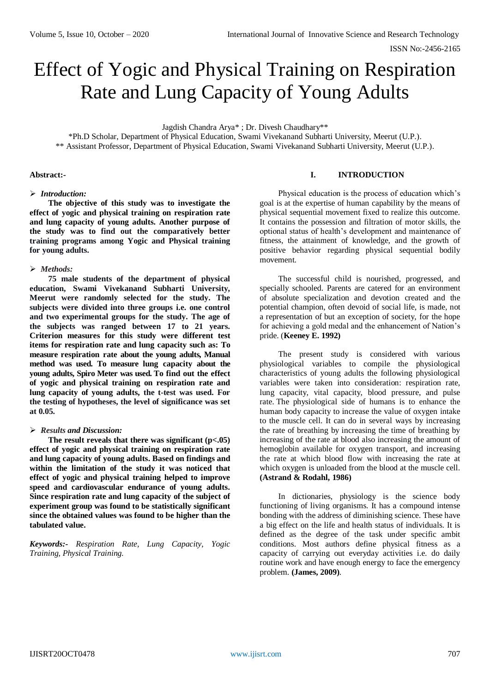# Effect of Yogic and Physical Training on Respiration Rate and Lung Capacity of Young Adults

Jagdish Chandra Arya\* ; Dr. Divesh Chaudhary\*\*

\*Ph.D Scholar, Department of Physical Education, Swami Vivekanand Subharti University, Meerut (U.P.). \*\* Assistant Professor, Department of Physical Education, Swami Vivekanand Subharti University, Meerut (U.P.).

## **Abstract:-**

#### *Introduction:*

**The objective of this study was to investigate the effect of yogic and physical training on respiration rate and lung capacity of young adults. Another purpose of the study was to find out the comparatively better training programs among Yogic and Physical training for young adults.**

# *Methods:*

**75 male students of the department of physical education, Swami Vivekanand Subharti University, Meerut were randomly selected for the study. The subjects were divided into three groups i.e. one control and two experimental groups for the study. The age of the subjects was ranged between 17 to 21 years. Criterion measures for this study were different test items for respiration rate and lung capacity such as: To measure respiration rate about the young adults, Manual method was used. To measure lung capacity about the young adults, Spiro Meter was used. To find out the effect of yogic and physical training on respiration rate and lung capacity of young adults, the t-test was used. For the testing of hypotheses, the level of significance was set at 0.05.** 

# *Results and Discussion:*

**The result reveals that there was significant (p<.05) effect of yogic and physical training on respiration rate and lung capacity of young adults. Based on findings and within the limitation of the study it was noticed that effect of yogic and physical training helped to improve speed and cardiovascular endurance of young adults. Since respiration rate and lung capacity of the subject of experiment group was found to be statistically significant since the obtained values was found to be higher than the tabulated value.**

*Keywords:- Respiration Rate, Lung Capacity, Yogic Training, Physical Training.*

## **I. INTRODUCTION**

Physical education is the process of education which's goal is at the expertise of human capability by the means of physical sequential movement fixed to realize this outcome. It contains the possession and filtration of motor skills, the optional status of health's development and maintenance of fitness, the attainment of knowledge, and the growth of positive behavior regarding physical sequential bodily movement.

The successful child is nourished, progressed, and specially schooled. Parents are catered for an environment of absolute specialization and devotion created and the potential champion, often devoid of social life, is made, not a representation of but an exception of society, for the hope for achieving a gold medal and the enhancement of Nation's pride. (**Keeney E. 1992)**

The present study is considered with various physiological variables to compile the physiological characteristics of young adults the following physiological variables were taken into consideration: respiration rate, lung capacity, vital capacity, blood pressure, and pulse rate. The physiological side of humans is to enhance the human body capacity to increase the value of oxygen intake to the muscle cell. It can do in several ways by increasing the rate of breathing by increasing the time of breathing by increasing of the rate at blood also increasing the amount of hemoglobin available for oxygen transport, and increasing the rate at which blood flow with increasing the rate at which oxygen is unloaded from the blood at the muscle cell. **(Astrand & Rodahl, 1986)**

In dictionaries, physiology is the science body functioning of living organisms. It has a compound intense bonding with the address of diminishing science. These have a big effect on the life and health status of individuals. It is defined as the degree of the task under specific ambit conditions. Most authors define physical fitness as a capacity of carrying out everyday activities i.e. do daily routine work and have enough energy to face the emergency problem. **(James, 2009)**.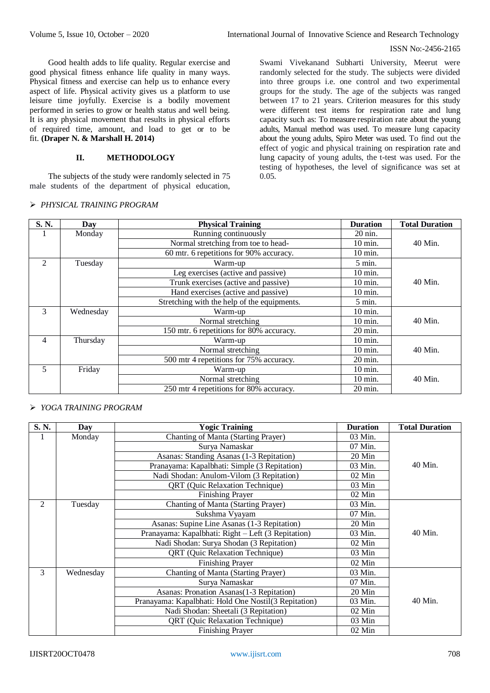#### ISSN No:-2456-2165

Good health adds to life quality. Regular exercise and good physical fitness enhance life quality in many ways. Physical fitness and exercise can help us to enhance every aspect of life. Physical activity gives us a platform to use leisure time joyfully. Exercise is a bodily movement performed in series to grow or health status and well being. It is any physical movement that results in physical efforts of required time, amount, and load to get or to be fit. **(Draper N. & Marshall H. 2014)**

# **II. METHODOLOGY**

The subjects of the study were randomly selected in 75 male students of the department of physical education,

## *PHYSICAL TRAINING PROGRAM*

Swami Vivekanand Subharti University, Meerut were randomly selected for the study. The subjects were divided into three groups i.e. one control and two experimental groups for the study. The age of the subjects was ranged between 17 to 21 years. Criterion measures for this study were different test items for respiration rate and lung capacity such as: To measure respiration rate about the young adults, Manual method was used. To measure lung capacity about the young adults, Spiro Meter was used. To find out the effect of yogic and physical training on respiration rate and lung capacity of young adults, the t-test was used. For the testing of hypotheses, the level of significance was set at 0.05.

| S.N.           | Day               | <b>Physical Training</b>                    | <b>Duration</b>   | <b>Total Duration</b> |  |  |
|----------------|-------------------|---------------------------------------------|-------------------|-----------------------|--|--|
| 1              | Monday            | Running continuously                        | 20 nin.           |                       |  |  |
|                |                   | Normal stretching from toe to head-         | 10 min.           | 40 Min.               |  |  |
|                |                   | 60 mtr. 6 repetitions for 90% accuracy.     | $10 \text{ min.}$ |                       |  |  |
| 2              | Tuesday           | Warm-up                                     | 5 min.            |                       |  |  |
|                |                   | Leg exercises (active and passive)          | 10 min.           |                       |  |  |
|                |                   | Trunk exercises (active and passive)        | 10 min.           | 40 Min.               |  |  |
|                |                   | Hand exercises (active and passive)         | 10 min.           |                       |  |  |
|                |                   | Stretching with the help of the equipments. | $5$ min.          |                       |  |  |
| 3              | Wednesday         | Warm-up                                     | 10 min.           |                       |  |  |
|                |                   | Normal stretching                           | 10 min.           | 40 Min.               |  |  |
|                |                   | 150 mtr. 6 repetitions for 80% accuracy.    | 20 min.           |                       |  |  |
| $\overline{4}$ | Thursday          | Warm-up                                     | 10 min.           |                       |  |  |
|                | Normal stretching |                                             |                   | 40 Min.               |  |  |
|                |                   | 500 mtr 4 repetitions for 75% accuracy.     | 20 min.           |                       |  |  |
| 5              | Friday            | Warm-up                                     | $10 \text{ min.}$ |                       |  |  |
|                |                   | 10 min.                                     | 40 Min.           |                       |  |  |
|                |                   | 20 min.                                     |                   |                       |  |  |

*YOGA TRAINING PROGRAM*

| S. N.          | Day       | <b>Yogic Training</b>                                | <b>Duration</b> | <b>Total Duration</b> |
|----------------|-----------|------------------------------------------------------|-----------------|-----------------------|
| 1              | Monday    | Chanting of Manta (Starting Prayer)                  | 03 Min.         |                       |
|                |           | Surya Namaskar                                       | 07 Min.         |                       |
|                |           | Asanas: Standing Asanas (1-3 Repitation)             | 20 Min          |                       |
|                |           | Pranayama: Kapalbhati: Simple (3 Repitation)         | 40 Min.         |                       |
|                |           | Nadi Shodan: Anulom-Vilom (3 Repitation)             | $02$ Min        |                       |
|                |           | QRT (Quic Relaxation Technique)                      | 03 Min          |                       |
|                |           | Finishing Prayer                                     | 02 Min          |                       |
| $\overline{2}$ | Tuesday   | Chanting of Manta (Starting Prayer)                  | 03 Min.         |                       |
|                |           | Sukshma Vyayam                                       | 07 Min.         |                       |
|                |           | Asanas: Supine Line Asanas (1-3 Repitation)          | 20 Min          |                       |
|                |           | Pranayama: Kapalbhati: Right – Left (3 Repitation)   | 03 Min.         | 40 Min.               |
|                |           | Nadi Shodan: Surya Shodan (3 Repitation)             | 02 Min          |                       |
|                |           | QRT (Quic Relaxation Technique)                      | $03$ Min        |                       |
|                |           | <b>Finishing Prayer</b>                              | 02 Min          |                       |
| 3              | Wednesday | Chanting of Manta (Starting Prayer)                  | 03 Min.         |                       |
|                |           | Surya Namaskar                                       | 07 Min.         |                       |
|                |           | Asanas: Pronation Asanas(1-3 Repitation)             | 20 Min          |                       |
|                |           | Pranayama: Kapalbhati: Hold One Nostil(3 Repitation) | 03 Min.         | 40 Min.               |
|                |           | Nadi Shodan: Sheetali (3 Repitation)                 | $02$ Min        |                       |
|                |           | QRT (Quic Relaxation Technique)                      | 03 Min          |                       |
|                |           | Finishing Prayer                                     | $02$ Min        |                       |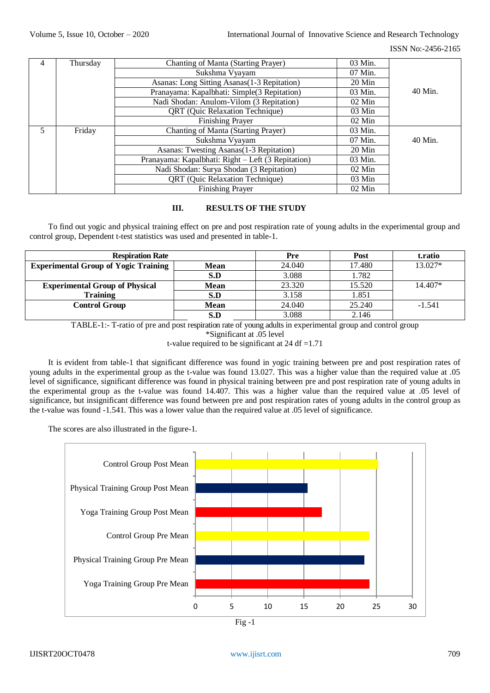#### ISSN No:-2456-2165

| 4           | Thursday | Chanting of Manta (Starting Prayer)      | 03 Min.  |  |  |  |
|-------------|----------|------------------------------------------|----------|--|--|--|
|             |          | Sukshma Vyayam                           | 07 Min.  |  |  |  |
|             |          | $20$ Min                                 |          |  |  |  |
|             |          | 03 Min.                                  | 40 Min.  |  |  |  |
|             |          | Nadi Shodan: Anulom-Vilom (3 Repitation) | $02$ Min |  |  |  |
|             |          | QRT (Quic Relaxation Technique)          | $03$ Min |  |  |  |
|             |          | $02$ Min                                 |          |  |  |  |
| 5<br>Friday |          | Chanting of Manta (Starting Prayer)      | 03 Min.  |  |  |  |
|             |          | 07 Min.                                  | 40 Min.  |  |  |  |
|             |          | 20 Min                                   |          |  |  |  |
|             |          | 03 Min.                                  |          |  |  |  |
|             |          | $02$ Min                                 |          |  |  |  |
|             |          | $03$ Min                                 |          |  |  |  |
|             |          | Finishing Prayer                         | $02$ Min |  |  |  |

# **III. RESULTS OF THE STUDY**

To find out yogic and physical training effect on pre and post respiration rate of young adults in the experimental group and control group, Dependent t-test statistics was used and presented in table-1.

| <b>Respiration Rate</b>                     |             | Pre    | Post    | t.ratio  |
|---------------------------------------------|-------------|--------|---------|----------|
| <b>Experimental Group of Yogic Training</b> | 24.040      | 17.480 | 13.027* |          |
|                                             | S.D         | 3.088  | 1.782   |          |
| <b>Experimental Group of Physical</b>       | <b>Mean</b> | 23.320 | 15.520  | 14.407*  |
| <b>Training</b>                             | S.D         | 3.158  | 1.851   |          |
| Control Group                               | <b>Mean</b> | 24.040 | 25.240  | $-1.541$ |
|                                             | S.D         | 3.088  | 2.146   |          |

TABLE-1:- T-ratio of pre and post respiration rate of young adults in experimental group and control group

\*Significant at .05 level

t-value required to be significant at  $24 df = 1.71$ 

It is evident from table-1 that significant difference was found in yogic training between pre and post respiration rates of young adults in the experimental group as the t-value was found 13.027. This was a higher value than the required value at .05 level of significance, significant difference was found in physical training between pre and post respiration rate of young adults in the experimental group as the t-value was found 14.407. This was a higher value than the required value at .05 level of significance, but insignificant difference was found between pre and post respiration rates of young adults in the control group as the t-value was found -1.541. This was a lower value than the required value at .05 level of significance.

The scores are also illustrated in the figure-1.



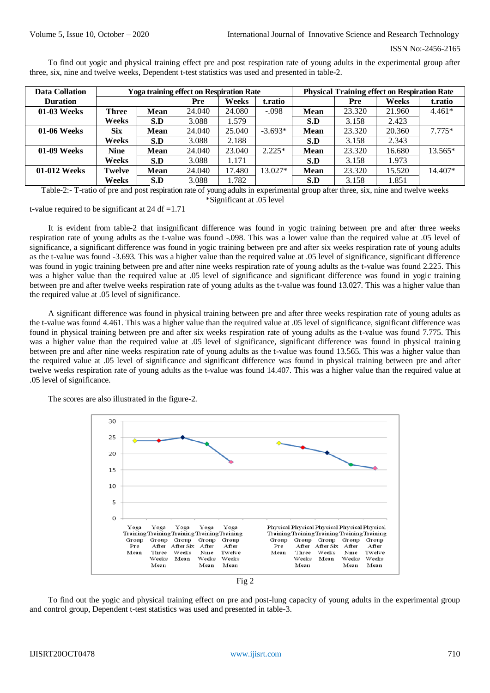```
 ISSN No:-2456-2165
```
To find out yogic and physical training effect pre and post respiration rate of young adults in the experimental group after three, six, nine and twelve weeks, Dependent t-test statistics was used and presented in table-2.

| <b>Data Collation</b> |              |             | <b>Yoga training effect on Respiration Rate</b> |        |           | <b>Physical Training effect on Respiration Rate</b> |        |        |           |
|-----------------------|--------------|-------------|-------------------------------------------------|--------|-----------|-----------------------------------------------------|--------|--------|-----------|
| <b>Duration</b>       |              |             | Pre                                             | Weeks  | t.ratio   |                                                     | Pre    | Weeks  | t.ratio   |
| 01-03 Weeks           | <b>Three</b> | <b>Mean</b> | 24.040                                          | 24.080 | $-.098$   | <b>Mean</b>                                         | 23.320 | 21.960 | $4.461*$  |
|                       | Weeks        | S.D         | 3.088                                           | l.579  |           | S.D                                                 | 3.158  | 2.423  |           |
| 01-06 Weeks           | <b>Six</b>   | <b>Mean</b> | 24.040                                          | 25.040 | $-3.693*$ | <b>Mean</b>                                         | 23.320 | 20.360 | $7.775*$  |
|                       | Weeks        | S.D         | 3.088                                           | 2.188  |           | S.D                                                 | 3.158  | 2.343  |           |
| 01-09 Weeks           | <b>Nine</b>  | <b>Mean</b> | 24.040                                          | 23.040 | $2.225*$  | <b>Mean</b>                                         | 23.320 | 16.680 | $13.565*$ |
|                       | Weeks        | S.D         | 3.088                                           | 1.171  |           | S.D                                                 | 3.158  | 1.973  |           |
| 01-012 Weeks          | Twelve       | <b>Mean</b> | 24.040                                          | 17.480 | $13.027*$ | <b>Mean</b>                                         | 23.320 | 15.520 | 14.407*   |
|                       | Weeks        | S.D         | 3.088                                           | 1.782  |           | S.D                                                 | 3.158  | 1.851  |           |

Table-2:- T-ratio of pre and post respiration rate of young adults in experimental group after three, six, nine and twelve weeks \*Significant at .05 level

t-value required to be significant at  $24 df = 1.71$ 

It is evident from table-2 that insignificant difference was found in yogic training between pre and after three weeks respiration rate of young adults as the t-value was found -.098. This was a lower value than the required value at .05 level of significance, a significant difference was found in yogic training between pre and after six weeks respiration rate of young adults as the t-value was found -3.693. This was a higher value than the required value at .05 level of significance, significant difference was found in yogic training between pre and after nine weeks respiration rate of young adults as the t-value was found 2.225. This was a higher value than the required value at .05 level of significance and significant difference was found in yogic training between pre and after twelve weeks respiration rate of young adults as the t-value was found 13.027. This was a higher value than the required value at .05 level of significance.

A significant difference was found in physical training between pre and after three weeks respiration rate of young adults as the t-value was found 4.461. This was a higher value than the required value at .05 level of significance, significant difference was found in physical training between pre and after six weeks respiration rate of young adults as the t-value was found 7.775. This was a higher value than the required value at .05 level of significance, significant difference was found in physical training between pre and after nine weeks respiration rate of young adults as the t-value was found 13.565. This was a higher value than the required value at .05 level of significance and significant difference was found in physical training between pre and after twelve weeks respiration rate of young adults as the t-value was found 14.407. This was a higher value than the required value at .05 level of significance.

The scores are also illustrated in the figure-2.



Fig 2

To find out the yogic and physical training effect on pre and post-lung capacity of young adults in the experimental group and control group, Dependent t-test statistics was used and presented in table-3.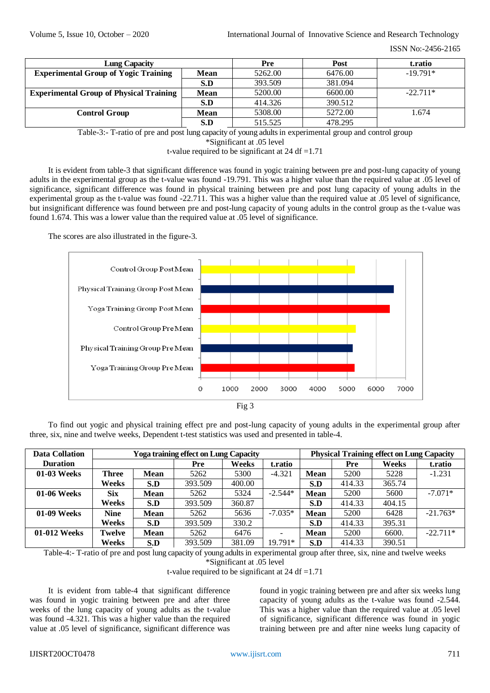ISSN No:-2456-2165

| <b>Lung Capacity</b>                                   |         | Pre     | Post       | t.ratio    |
|--------------------------------------------------------|---------|---------|------------|------------|
| <b>Experimental Group of Yogic Training</b>            | 5262.00 | 6476.00 | $-19.791*$ |            |
|                                                        | S.D     | 393.509 | 381.094    |            |
| <b>Experimental Group of Physical Training</b><br>Mean |         | 5200.00 | 6600.00    | $-22.711*$ |
|                                                        | S.D     | 414.326 | 390.512    |            |
| <b>Control Group</b>                                   | Mean    | 5308.00 | 5272.00    | 1.674      |
|                                                        | S.D     | 515.525 | 478.295    |            |

Table-3:- T-ratio of pre and post lung capacity of young adultsin experimental group and control group

\*Significant at .05 level

t-value required to be significant at  $24 df = 1.71$ 

It is evident from table-3 that significant difference was found in yogic training between pre and post-lung capacity of young adults in the experimental group as the t-value was found -19.791. This was a higher value than the required value at .05 level of significance, significant difference was found in physical training between pre and post lung capacity of young adults in the experimental group as the t-value was found -22.711. This was a higher value than the required value at .05 level of significance, but insignificant difference was found between pre and post-lung capacity of young adults in the control group as the t-value was found 1.674. This was a lower value than the required value at .05 level of significance.

The scores are also illustrated in the figure-3.



Fig 3

To find out yogic and physical training effect pre and post-lung capacity of young adults in the experimental group after three, six, nine and twelve weeks, Dependent t-test statistics was used and presented in table-4.

| Data Collation  | <b>Yoga training effect on Lung Capacity</b> |             |         |        |                          |             | <b>Physical Training effect on Lung Capacity</b> |        |            |  |
|-----------------|----------------------------------------------|-------------|---------|--------|--------------------------|-------------|--------------------------------------------------|--------|------------|--|
| <b>Duration</b> |                                              |             | Pre     | Weeks  | t.ratio                  |             | Pre                                              | Weeks  | t.ratio    |  |
| 01-03 Weeks     | <b>Three</b>                                 | Mean        | 5262    | 5300   | $-4.321$                 | <b>Mean</b> | 5200                                             | 5228   | $-1.231$   |  |
|                 | Weeks                                        | S.D         | 393.509 | 400.00 |                          | S.D         | 414.33                                           | 365.74 |            |  |
| 01-06 Weeks     | <b>Six</b>                                   | <b>Mean</b> | 5262    | 5324   | $-2.544*$                | <b>Mean</b> | 5200                                             | 5600   | $-7.071*$  |  |
|                 | Weeks                                        | S.D         | 393.509 | 360.87 |                          | S.D         | 414.33                                           | 404.15 |            |  |
| 01-09 Weeks     | <b>Nine</b>                                  | <b>Mean</b> | 5262    | 5636   | $-7.035*$                | <b>Mean</b> | 5200                                             | 6428   | $-21.763*$ |  |
|                 | Weeks                                        | S.D         | 393.509 | 330.2  |                          | S.D         | 414.33                                           | 395.31 |            |  |
| 01-012 Weeks    | <b>Twelve</b>                                | <b>Mean</b> | 5262    | 6476   | $\overline{\phantom{0}}$ | <b>Mean</b> | 5200                                             | 6600.  | $-22.711*$ |  |
|                 | Weeks                                        | S.D         | 393.509 | 381.09 | 19.791*                  | S.D         | 414.33                                           | 390.51 |            |  |

Table-4:- T-ratio of pre and post lung capacity of young adultsin experimental group after three, six, nine and twelve weeks

\*Significant at .05 level

t-value required to be significant at  $24 df = 1.71$ 

It is evident from table-4 that significant difference was found in yogic training between pre and after three weeks of the lung capacity of young adults as the t-value was found -4.321. This was a higher value than the required value at .05 level of significance, significant difference was

found in yogic training between pre and after six weeks lung capacity of young adults as the t-value was found -2.544. This was a higher value than the required value at .05 level of significance, significant difference was found in yogic training between pre and after nine weeks lung capacity of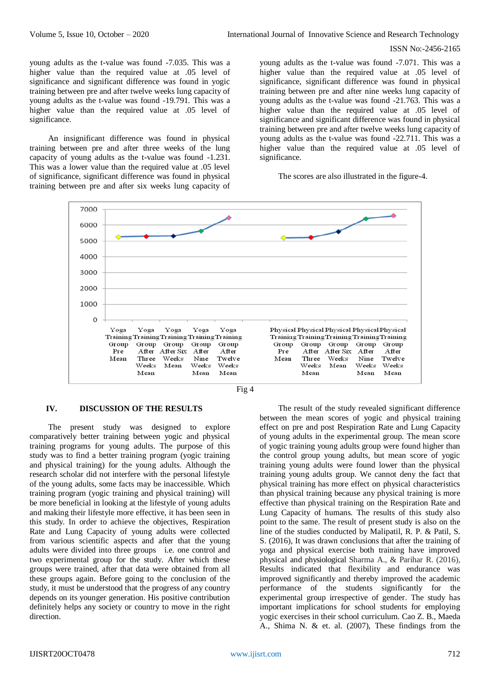### ISSN No:-2456-2165

young adults as the t-value was found -7.035. This was a higher value than the required value at .05 level of significance and significant difference was found in yogic training between pre and after twelve weeks lung capacity of young adults as the t-value was found -19.791. This was a higher value than the required value at .05 level of significance.

An insignificant difference was found in physical training between pre and after three weeks of the lung capacity of young adults as the t-value was found -1.231. This was a lower value than the required value at .05 level of significance, significant difference was found in physical training between pre and after six weeks lung capacity of

young adults as the t-value was found -7.071. This was a higher value than the required value at .05 level of significance, significant difference was found in physical training between pre and after nine weeks lung capacity of young adults as the t-value was found -21.763. This was a higher value than the required value at .05 level of significance and significant difference was found in physical training between pre and after twelve weeks lung capacity of young adults as the t-value was found -22.711. This was a higher value than the required value at .05 level of significance.

The scores are also illustrated in the figure-4.





#### **IV. DISCUSSION OF THE RESULTS**

The present study was designed to explore comparatively better training between yogic and physical training programs for young adults. The purpose of this study was to find a better training program (yogic training and physical training) for the young adults. Although the research scholar did not interfere with the personal lifestyle of the young adults, some facts may be inaccessible. Which training program (yogic training and physical training) will be more beneficial in looking at the lifestyle of young adults and making their lifestyle more effective, it has been seen in this study. In order to achieve the objectives, Respiration Rate and Lung Capacity of young adults were collected from various scientific aspects and after that the young adults were divided into three groups i.e. one control and two experimental group for the study. After which these groups were trained, after that data were obtained from all these groups again. Before going to the conclusion of the study, it must be understood that the progress of any country depends on its younger generation. His positive contribution definitely helps any society or country to move in the right direction.

The result of the study revealed significant difference between the mean scores of yogic and physical training effect on pre and post Respiration Rate and Lung Capacity of young adults in the experimental group. The mean score of yogic training young adults group were found higher than the control group young adults, but mean score of yogic training young adults were found lower than the physical training young adults group. We cannot deny the fact that physical training has more effect on physical characteristics than physical training because any physical training is more effective than physical training on the Respiration Rate and Lung Capacity of humans. The results of this study also point to the same. The result of present study is also on the line of the studies conducted by Malipatil, R. P. & Patil, S. S. (2016), It was drawn conclusions that after the training of yoga and physical exercise both training have improved physical and physiological Sharma A., & Parihar R. (2016), Results indicated that flexibility and endurance was improved significantly and thereby improved the academic performance of the students significantly for the experimental group irrespective of gender. The study has important implications for school students for employing yogic exercises in their school curriculum. Cao Z. B., Maeda A., Shima N. & et. al. (2007), These findings from the